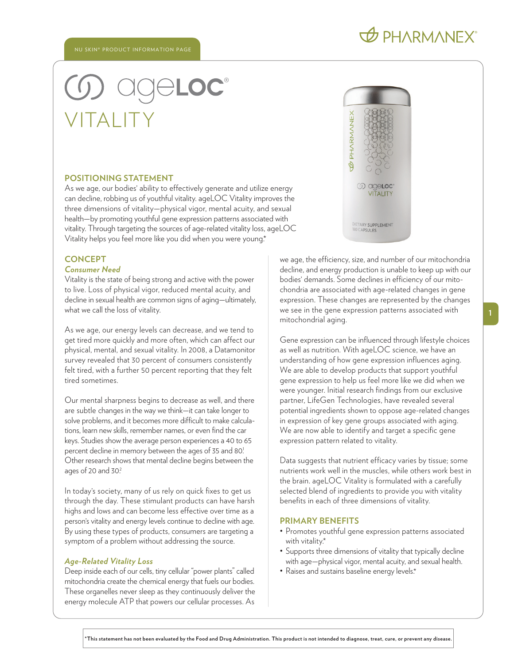# **D** PHARMANEX®

# ® VITALITY

#### **POSITIONING STATEMENT**

As we age, our bodies' ability to effectively generate and utilize energy can decline, robbing us of youthful vitality. ageLOC Vitality improves the three dimensions of vitality—physical vigor, mental acuity, and sexual health—by promoting youthful gene expression patterns associated with vitality. Through targeting the sources of age-related vitality loss, ageLOC Vitality helps you feel more like you did when you were young.\*

# **CONCEPT**

# *Consumer Need*

Vitality is the state of being strong and active with the power to live. Loss of physical vigor, reduced mental acuity, and decline in sexual health are common signs of aging—ultimately, what we call the loss of vitality.

As we age, our energy levels can decrease, and we tend to get tired more quickly and more often, which can affect our physical, mental, and sexual vitality. In 2008, a Datamonitor survey revealed that 30 percent of consumers consistently felt tired, with a further 50 percent reporting that they felt tired sometimes.

Our mental sharpness begins to decrease as well, and there are subtle changes in the way we think—it can take longer to solve problems, and it becomes more difficult to make calculations, learn new skills, remember names, or even find the car keys. Studies show the average person experiences a 40 to 65 percent decline in memory between the ages of 35 and 80! Other research shows that mental decline begins between the ages of 20 and 30?

In today's society, many of us rely on quick fixes to get us through the day. These stimulant products can have harsh highs and lows and can become less effective over time as a person's vitality and energy levels continue to decline with age. By using these types of products, consumers are targeting a symptom of a problem without addressing the source.

#### *Age-Related Vitality Loss*

Deep inside each of our cells, tiny cellular "power plants" called mitochondria create the chemical energy that fuels our bodies. These organelles never sleep as they continuously deliver the energy molecule ATP that powers our cellular processes. As



we age, the efficiency, size, and number of our mitochondria decline, and energy production is unable to keep up with our bodies' demands. Some declines in efficiency of our mitochondria are associated with age-related changes in gene expression. These changes are represented by the changes we see in the gene expression patterns associated with mitochondrial aging.

Gene expression can be influenced through lifestyle choices as well as nutrition. With ageLOC science, we have an understanding of how gene expression influences aging. We are able to develop products that support youthful gene expression to help us feel more like we did when we were younger. Initial research findings from our exclusive partner, LifeGen Technologies, have revealed several potential ingredients shown to oppose age-related changes in expression of key gene groups associated with aging. We are now able to identify and target a specific gene expression pattern related to vitality.

Data suggests that nutrient efficacy varies by tissue; some nutrients work well in the muscles, while others work best in the brain. ageLOC Vitality is formulated with a carefully selected blend of ingredients to provide you with vitality benefits in each of three dimensions of vitality.

# **PRIMARY BENEFITS**

- Promotes youthful gene expression patterns associated with vitality.\*
- Supports three dimensions of vitality that typically decline with age—physical vigor, mental acuity, and sexual health.
- Raises and sustains baseline energy levels.\*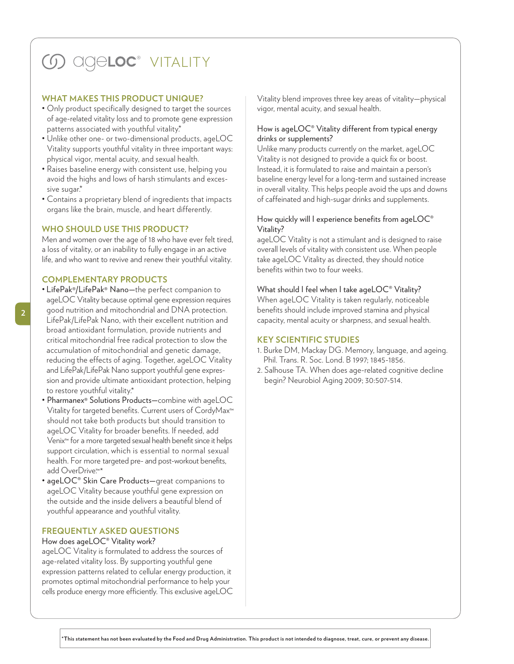# **(J) ageloc** vitality

#### **WHAT MAKES THIS PRODUCT UNIQUE?**

- Only product specifically designed to target the sources of age-related vitality loss and to promote gene expression patterns associated with youthful vitality.\*
- Unlike other one- or two-dimensional products, ageLOC Vitality supports youthful vitality in three important ways: physical vigor, mental acuity, and sexual health.
- Raises baseline energy with consistent use, helping you avoid the highs and lows of harsh stimulants and excessive sugar.\*
- Contains a proprietary blend of ingredients that impacts organs like the brain, muscle, and heart differently.

#### **WHO SHOULD USE THIS PRODUCT?**

Men and women over the age of 18 who have ever felt tired, a loss of vitality, or an inability to fully engage in an active life, and who want to revive and renew their youthful vitality.

# **COMPLEMENTARY PRODUCTS**

- LifePak®/LifePak® Nano—the perfect companion to ageLOC Vitality because optimal gene expression requires good nutrition and mitochondrial and DNA protection. LifePak/LifePak Nano, with their excellent nutrition and broad antioxidant formulation, provide nutrients and critical mitochondrial free radical protection to slow the accumulation of mitochondrial and genetic damage, reducing the effects of aging. Together, ageLOC Vitality and LifePak/LifePak Nano support youthful gene expression and provide ultimate antioxidant protection, helping to restore youthful vitality.\*
- Pharmanex® Solutions Products—combine with ageLOC Vitality for targeted benefits. Current users of CordyMax™ should not take both products but should transition to ageLOC Vitality for broader benefits. If needed, add Venix™ for a more targeted sexual health benefit since it helps support circulation, which is essential to normal sexual health. For more targeted pre- and post-workout benefits, add OverDrive<sup>™\*</sup>
- ageLOC® Skin Care Products—great companions to ageLOC Vitality because youthful gene expression on the outside and the inside delivers a beautiful blend of youthful appearance and youthful vitality.

# **FREQUENTLY ASKED QUESTIONS**

#### How does ageLOC® Vitality work?

ageLOC Vitality is formulated to address the sources of age-related vitality loss. By supporting youthful gene expression patterns related to cellular energy production, it promotes optimal mitochondrial performance to help your cells produce energy more efficiently. This exclusive ageLOC Vitality blend improves three key areas of vitality—physical vigor, mental acuity, and sexual health.

### How is ageLOC® Vitality different from typical energy drinks or supplements?

Unlike many products currently on the market, ageLOC Vitality is not designed to provide a quick fix or boost. Instead, it is formulated to raise and maintain a person' s baseline energy level for a long-term and sustained increase in overall vitality. This helps people avoid the ups and downs of caffeinated and high-sugar drinks and supplements.

### How quickly will I experience benefits from ageLOC<sup>®</sup> Vitality?

ageLOC Vitality is not a stimulant and is designed to raise overall levels of vitality with consistent use. When people take ageLOC Vitality as directed, they should notice benefits within two to four weeks.

#### What should I feel when I take ageLOC® Vitality?

When ageLOC Vitality is taken regularly, noticeable benefits should include improved stamina and physical capacity, mental acuity or sharpness, and sexual health.

# **KEY SCIENTIFIC STUDIES**

- 1. Burke DM, Mackay DG. Memory, language, and ageing. Phil. Trans. R. Soc. Lond. B 1997; 1845-1856.
- 2. Salhouse TA. When does age-related cognitive decline begin? Neurobiol Aging 2009; 30:507-514.